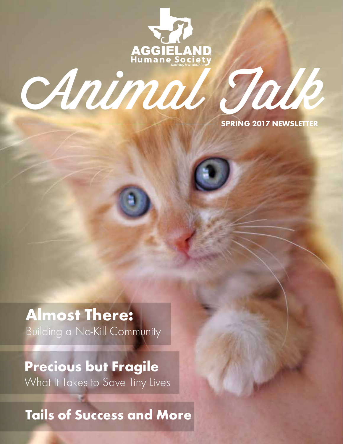

# Animal Talk

SPRING 2017 NEWSLETTER

Almost There: Building a No-Kill Community

Precious but Fragile What It Takes to Save Tiny Lives

Tails of Success and More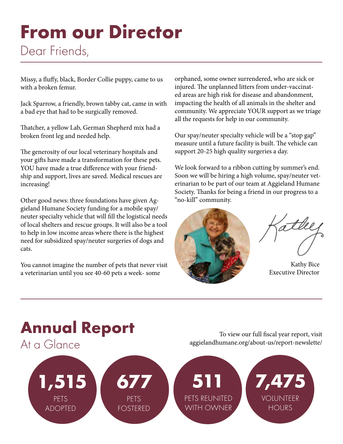# From our Director Dear Friends,

Missy, a fluffy, black, Border Collie puppy, came to us with a broken femur.

Jack Sparrow, a friendly, brown tabby cat, came in with a bad eye that had to be surgically removed.

Thatcher, a yellow Lab, German Shepherd mix had a broken front leg and needed help.

The generosity of our local veterinary hospitals and your gifts have made a transformation for these pets. YOU have made a true difference with your friendship and support, lives are saved. Medical rescues are increasing!

Other good news: three foundations have given Aggieland Humane Society funding for a mobile spay/ neuter specialty vehicle that will fill the logistical needs of local shelters and rescue groups. It will also be a tool to help in low income areas where there is the highest need for subsidized spay/neuter surgeries of dogs and cats.

You cannot imagine the number of pets that never visit a veterinarian until you see 40-60 pets a week- some

orphaned, some owner surrendered, who are sick or injured. The unplanned litters from under-vaccinated areas are high risk for disease and abandonment, impacting the health of all animals in the shelter and community. We appreciate YOUR support as we triage all the requests for help in our community.

Our spay/neuter specialty vehicle will be a "stop gap" measure until a future facility is built. The vehicle can support 20-25 high quality surgeries a day.

We look forward to a ribbon cutting by summer's end. Soon we will be hiring a high volume, spay/neuter veterinarian to be part of our team at Aggieland Humane Society. Thanks for being a friend in our progress to a "no-kill" community.



attle

 Kathy Bice Executive Director

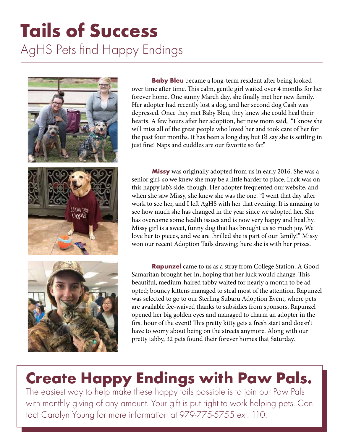# Tails of Success AgHS Pets find Happy Endings



**Baby Bleu** became a long-term resident after being looked over time after time. This calm, gentle girl waited over 4 months for her forever home. One sunny March day, she finally met her new family. Her adopter had recently lost a dog, and her second dog Cash was depressed. Once they met Baby Bleu, they knew she could heal their hearts. A few hours after her adoption, her new mom said, "I know she will miss all of the great people who loved her and took care of her for the past four months. It has been a long day, but I'd say she is settling in just fine! Naps and cuddles are our favorite so far."

**Missy** was originally adopted from us in early 2016. She was a senior girl, so we knew she may be a little harder to place. Luck was on this happy lab's side, though. Her adopter frequented our website, and when she saw Missy, she knew she was the one. "I went that day after work to see her, and I left AgHS with her that evening. It is amazing to see how much she has changed in the year since we adopted her. She has overcome some health issues and is now very happy and healthy. Missy girl is a sweet, funny dog that has brought us so much joy. We love her to pieces, and we are thrilled she is part of our family!" Missy won our recent Adoption Tails drawing; here she is with her prizes.

**Rapunzel** came to us as a stray from College Station. A Good Samaritan brought her in, hoping that her luck would change. This beautiful, medium-haired tabby waited for nearly a month to be adopted; bouncy kittens managed to steal most of the attention. Rapunzel was selected to go to our Sterling Subaru Adoption Event, where pets are available fee-waived thanks to subsidies from sponsors. Rapunzel opened her big golden eyes and managed to charm an adopter in the first hour of the event! This pretty kitty gets a fresh start and doesn't have to worry about being on the streets anymore. Along with our pretty tabby, 32 pets found their forever homes that Saturday.

# Create Happy Endings with Paw Pals.

The easiest way to help make these happy tails possible is to join our Paw Pals with monthly giving of any amount. Your gift is put right to work helping pets. Contact Carolyn Young for more information at 979-775-5755 ext. 110.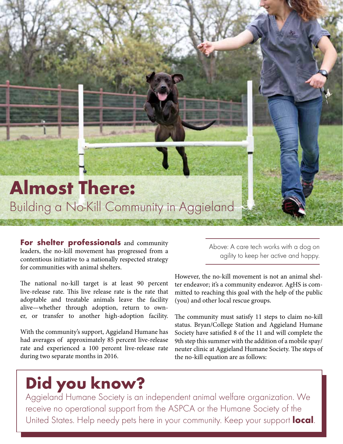# Almost There: Building a No-Kill Community in Aggieland

For shelter professionals and community leaders, the no-kill movement has progressed from a contentious initiative to a nationally respected strategy for communities with animal shelters.

The national no-kill target is at least 90 percent live-release rate. This live release rate is the rate that adoptable and treatable animals leave the facility alive—whether through adoption, return to owner, or transfer to another high-adoption facility.

With the community's support, Aggieland Humane has had averages of approximately 85 percent live-release rate and experienced a 100 percent live-release rate during two separate months in 2016.

Above: A care tech works with a dog on agility to keep her active and happy.

However, the no-kill movement is not an animal shelter endeavor; it's a community endeavor. AgHS is committed to reaching this goal with the help of the public (you) and other local rescue groups.

The community must satisfy 11 steps to claim no-kill status. Bryan/College Station and Aggieland Humane Society have satisfied 8 of the 11 and will complete the 9th step this summer with the addition of a mobile spay/ neuter clinic at Aggieland Humane Society. The steps of the no-kill equation are as follows:

# Did you know?

Aggieland Humane Society is an independent animal welfare organization. We receive no operational support from the ASPCA or the Humane Society of the United States. Help needy pets here in your community. Keep your support local.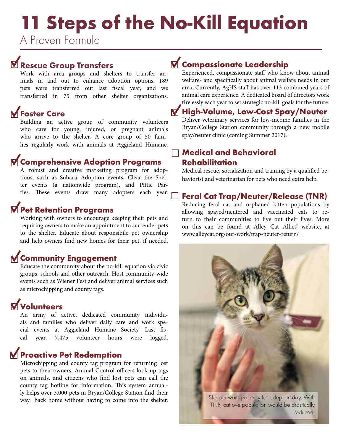# 11 Steps of the No-Kill Equation

A Proven Formula

# Rescue Group Transfers

Work with area groups and shelters to transfer animals in and out to enhance adoption options. 189 pets were transferred out last fiscal year, and we transferred in 75 from other shelter organizations.

# **M** Foster Care

Building an active group of community volunteers who care for young, injured, or pregnant animals who arrive to the shelter. A core group of 50 families regularly work with animals at Aggieland Humane.

# Comprehensive Adoption Programs

A robust and creative marketing program for adoptions, such as Subaru Adoption events, Clear the Shelter events (a nationwide program), and Pittie Parties. These events draw many adopters each year.

### **M** Pet Retention Programs

Working with owners to encourage keeping their pets and requiring owners to make an appointment to surrender pets to the shelter. Educate about responsibile pet ownership and help owners find new homes for their pet, if needed.

### **M** Community Engagement

Educate the community about the no-kill equation via civic groups, schools and other outreach. Host community-wide events such as Wiener Fest and deliver animal services such as microchipping and county tags.

# **M** Volunteers

An army of active, dedicated community individuals and families who deliver daily care and work special events at Aggieland Humane Society. Last fiscal year, 7,475 volunteer hours were logged.

### **M** Proactive Pet Redemption

Microchipping and county tag program for returning lost pets to their owners. Animal Control officers look up tags on animals, and citizens who find lost pets can call the county tag hotline for information. This system annually helps over 3,000 pets in Bryan/College Station find their way back home without having to come into the shelter.

# **M** Compassionate Leadership

Experienced, compassionate staff who know about animal welfare- and specifically about animal welfare needs in our area. Currently, AgHS staff has over 113 combined years of animal care experience. A dedicated board of directors work tirelessly each year to set strategic no-kill goals for the future.

#### M High-Volume, Low-Cost Spay/Neuter

Deliver veterinary services for low-income families in the Bryan/College Station community through a new mobile spay/neuter clinic (coming Summer 2017).

### Medical and Behavioral Rehabilitation

Medical rescue, socialization and training by a qualified behaviorist and veterinarian for pets who need extra help.

#### Feral Cat Trap/Neuter/Release (TNR)

Reducing feral cat and orphaned kitten populations by allowing spayed/neutered and vaccinated cats to return to their communities to live out their lives. More on this can be found at Alley Cat Allies' website, at www.alleycat.org/our-work/trap-neuter-return/

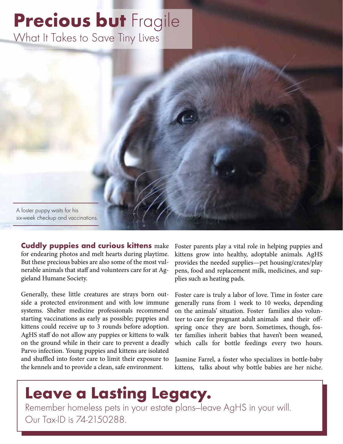# **Precious but Fragile** What It Takes to Save Tiny Lives

A foster puppy waits for his six-week checkup and vaccinations.

Cuddly puppies and curious kittens make for endearing photos and melt hearts during playtime. But these precious babies are also some of the most vulnerable animals that staff and volunteers care for at Aggieland Humane Society.

Generally, these little creatures are strays born outside a protected environment and with low immune systems. Shelter medicine professionals recommend starting vaccinations as early as possible; puppies and kittens could receive up to 3 rounds before adoption. AgHS staff do not allow any puppies or kittens to walk on the ground while in their care to prevent a deadly Parvo infection. Young puppies and kittens are isolated and shuffled into foster care to limit their exposure to the kennels and to provide a clean, safe environment.

Foster parents play a vital role in helping puppies and kittens grow into healthy, adoptable animals. AgHS provides the needed supplies—pet housing/crates/play pens, food and replacement milk, medicines, and supplies such as heating pads.

Foster care is truly a labor of love. Time in foster care generally runs from 1 week to 10 weeks, depending on the animals' situation. Foster families also volunteer to care for pregnant adult animals and their offspring once they are born. Sometimes, though, foster families inherit babies that haven't been weaned, which calls for bottle feedings every two hours.

Jasmine Farrel, a foster who specializes in bottle-baby kittens, talks about why bottle babies are her niche.

# Leave a Lasting Legacy.

Remember homeless pets in your estate plans—leave AgHS in your will. Our Tax-ID is 74-2150288.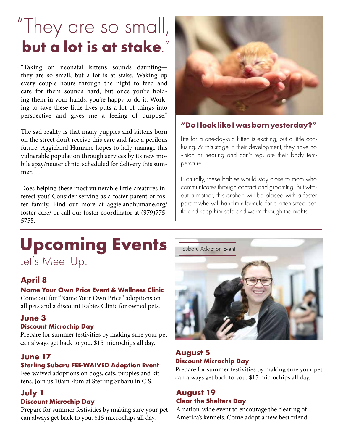# "They are so small, but a lot is at stake."

"Taking on neonatal kittens sounds daunting they are so small, but a lot is at stake. Waking up every couple hours through the night to feed and care for them sounds hard, but once you're holding them in your hands, you're happy to do it. Working to save these little lives puts a lot of things into perspective and gives me a feeling of purpose."

The sad reality is that many puppies and kittens born on the street don't receive this care and face a perilous future. Aggieland Humane hopes to help manage this vulnerable population through services by its new mobile spay/neuter clinic, scheduled for delivery this summer.

Does helping these most vulnerable little creatures interest you? Consider serving as a foster parent or foster family. Find out more at aggielandhumane.org/ foster-care/ or call our foster coordinator at (979)775- 5755.

### "Do I look like I was born yesterday?"

Life for a one-day-old kitten is exciting, but a little confusing. At this stage in their development, they have no vision or hearing and can't regulate their body temperature.

Naturally, these babies would stay close to mom who communicates through contact and grooming. But without a mother, this orphan will be placed with a foster parent who will hand-mix formula for a kitten-sized bottle and keep him safe and warm through the nights.

# Upcoming Events Let's Meet Up!

### April 8

#### Name Your Own Price Event & Wellness Clinic

Come out for "Name Your Own Price" adoptions on all pets and a discount Rabies Clinic for owned pets.

#### June 3

#### Discount Microchip Day

Prepare for summer festivities by making sure your pet can always get back to you. \$15 microchips all day.

#### June 17

#### Sterling Subaru FEE-WAIVED Adoption Event

Fee-waived adoptions on dogs, cats, puppies and kittens. Join us 10am-4pm at Sterling Subaru in C.S.

# July 1

#### Discount Microchip Day

Prepare for summer festivities by making sure your pet can always get back to you. \$15 microchips all day.



#### August 5 Discount Microchip Day

Prepare for summer festivities by making sure your pet can always get back to you. \$15 microchips all day.

#### August 19 Clear the Shelters Day

A nation-wide event to encourage the clearing of America's kennels. Come adopt a new best friend.